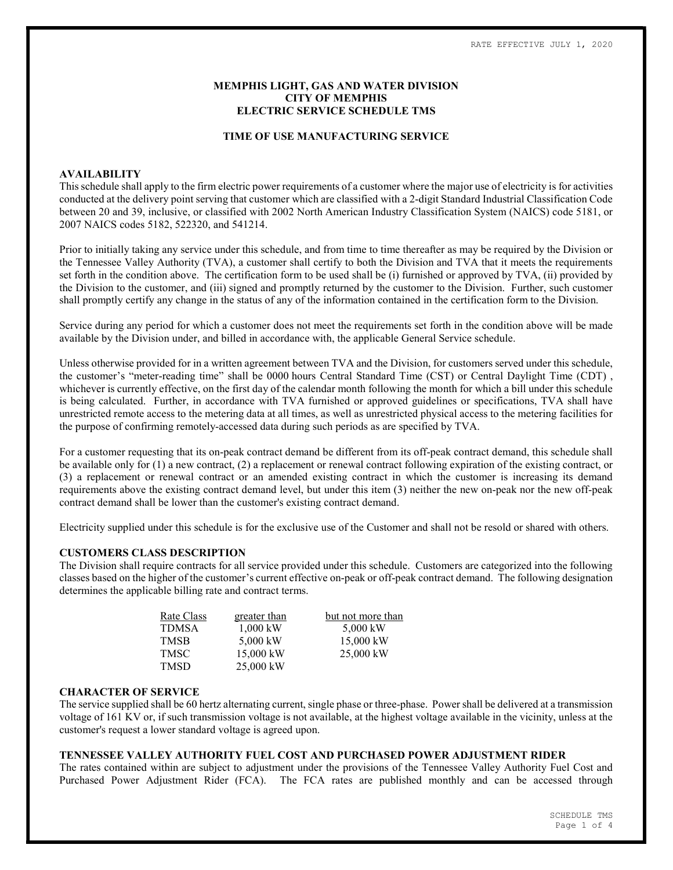# MEMPHIS LIGHT, GAS AND WATER DIVISION CITY OF MEMPHIS ELECTRIC SERVICE SCHEDULE TMS

#### TIME OF USE MANUFACTURING SERVICE

### AVAILABILITY

This schedule shall apply to the firm electric power requirements of a customer where the major use of electricity is for activities conducted at the delivery point serving that customer which are classified with a 2-digit Standard Industrial Classification Code between 20 and 39, inclusive, or classified with 2002 North American Industry Classification System (NAICS) code 5181, or 2007 NAICS codes 5182, 522320, and 541214.

Prior to initially taking any service under this schedule, and from time to time thereafter as may be required by the Division or the Tennessee Valley Authority (TVA), a customer shall certify to both the Division and TVA that it meets the requirements set forth in the condition above. The certification form to be used shall be (i) furnished or approved by TVA, (ii) provided by the Division to the customer, and (iii) signed and promptly returned by the customer to the Division. Further, such customer shall promptly certify any change in the status of any of the information contained in the certification form to the Division.

Service during any period for which a customer does not meet the requirements set forth in the condition above will be made available by the Division under, and billed in accordance with, the applicable General Service schedule.

Unless otherwise provided for in a written agreement between TVA and the Division, for customers served under this schedule, the customer's "meter-reading time" shall be 0000 hours Central Standard Time (CST) or Central Daylight Time (CDT) , whichever is currently effective, on the first day of the calendar month following the month for which a bill under this schedule is being calculated. Further, in accordance with TVA furnished or approved guidelines or specifications, TVA shall have unrestricted remote access to the metering data at all times, as well as unrestricted physical access to the metering facilities for the purpose of confirming remotely-accessed data during such periods as are specified by TVA.

For a customer requesting that its on-peak contract demand be different from its off-peak contract demand, this schedule shall be available only for (1) a new contract, (2) a replacement or renewal contract following expiration of the existing contract, or (3) a replacement or renewal contract or an amended existing contract in which the customer is increasing its demand requirements above the existing contract demand level, but under this item (3) neither the new on-peak nor the new off-peak contract demand shall be lower than the customer's existing contract demand.

Electricity supplied under this schedule is for the exclusive use of the Customer and shall not be resold or shared with others.

#### CUSTOMERS CLASS DESCRIPTION

The Division shall require contracts for all service provided under this schedule. Customers are categorized into the following classes based on the higher of the customer's current effective on-peak or off-peak contract demand. The following designation determines the applicable billing rate and contract terms.

| Rate Class | greater than | but not more than |  |  |  |
|------------|--------------|-------------------|--|--|--|
| TDMSA      | $1.000$ kW   | 5,000 kW          |  |  |  |
| TMSB       | 5,000 kW     | 15,000 kW         |  |  |  |
| TMSC       | 15,000 kW    | 25,000 kW         |  |  |  |
| TMSD       | 25,000 kW    |                   |  |  |  |

#### CHARACTER OF SERVICE

The service supplied shall be 60 hertz alternating current, single phase or three-phase. Power shall be delivered at a transmission voltage of 161 KV or, if such transmission voltage is not available, at the highest voltage available in the vicinity, unless at the customer's request a lower standard voltage is agreed upon.

# TENNESSEE VALLEY AUTHORITY FUEL COST AND PURCHASED POWER ADJUSTMENT RIDER

The rates contained within are subject to adjustment under the provisions of the Tennessee Valley Authority Fuel Cost and Purchased Power Adjustment Rider (FCA). The FCA rates are published monthly and can be accessed through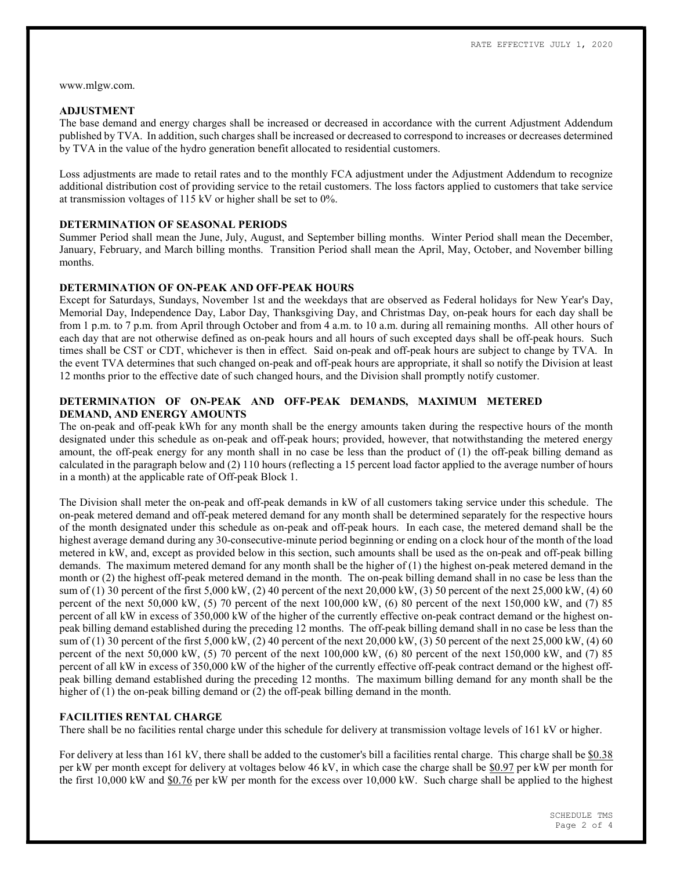www.mlgw.com.

#### ADJUSTMENT

The base demand and energy charges shall be increased or decreased in accordance with the current Adjustment Addendum published by TVA. In addition, such charges shall be increased or decreased to correspond to increases or decreases determined by TVA in the value of the hydro generation benefit allocated to residential customers.

Loss adjustments are made to retail rates and to the monthly FCA adjustment under the Adjustment Addendum to recognize additional distribution cost of providing service to the retail customers. The loss factors applied to customers that take service at transmission voltages of 115 kV or higher shall be set to 0%.

### DETERMINATION OF SEASONAL PERIODS

Summer Period shall mean the June, July, August, and September billing months. Winter Period shall mean the December, January, February, and March billing months. Transition Period shall mean the April, May, October, and November billing months.

# DETERMINATION OF ON-PEAK AND OFF-PEAK HOURS

Except for Saturdays, Sundays, November 1st and the weekdays that are observed as Federal holidays for New Year's Day, Memorial Day, Independence Day, Labor Day, Thanksgiving Day, and Christmas Day, on-peak hours for each day shall be from 1 p.m. to 7 p.m. from April through October and from 4 a.m. to 10 a.m. during all remaining months. All other hours of each day that are not otherwise defined as on-peak hours and all hours of such excepted days shall be off-peak hours. Such times shall be CST or CDT, whichever is then in effect. Said on-peak and off-peak hours are subject to change by TVA. In the event TVA determines that such changed on-peak and off-peak hours are appropriate, it shall so notify the Division at least 12 months prior to the effective date of such changed hours, and the Division shall promptly notify customer.

# DETERMINATION OF ON-PEAK AND OFF-PEAK DEMANDS, MAXIMUM METERED DEMAND, AND ENERGY AMOUNTS

The on-peak and off-peak kWh for any month shall be the energy amounts taken during the respective hours of the month designated under this schedule as on-peak and off-peak hours; provided, however, that notwithstanding the metered energy amount, the off-peak energy for any month shall in no case be less than the product of (1) the off-peak billing demand as calculated in the paragraph below and (2) 110 hours (reflecting a 15 percent load factor applied to the average number of hours in a month) at the applicable rate of Off-peak Block 1.

The Division shall meter the on-peak and off-peak demands in kW of all customers taking service under this schedule. The on-peak metered demand and off-peak metered demand for any month shall be determined separately for the respective hours of the month designated under this schedule as on-peak and off-peak hours. In each case, the metered demand shall be the highest average demand during any 30-consecutive-minute period beginning or ending on a clock hour of the month of the load metered in kW, and, except as provided below in this section, such amounts shall be used as the on-peak and off-peak billing demands. The maximum metered demand for any month shall be the higher of (1) the highest on-peak metered demand in the month or (2) the highest off-peak metered demand in the month. The on-peak billing demand shall in no case be less than the sum of (1) 30 percent of the first 5,000 kW, (2) 40 percent of the next 20,000 kW, (3) 50 percent of the next 25,000 kW, (4) 60 percent of the next  $50,000$  kW,  $(5)$  70 percent of the next  $100,000$  kW,  $(6)$  80 percent of the next  $150,000$  kW, and  $(7)$  85 percent of all kW in excess of 350,000 kW of the higher of the currently effective on-peak contract demand or the highest onpeak billing demand established during the preceding 12 months. The off-peak billing demand shall in no case be less than the sum of (1) 30 percent of the first 5,000 kW, (2) 40 percent of the next 20,000 kW, (3) 50 percent of the next 25,000 kW, (4) 60 percent of the next  $50,000$  kW,  $(5)$  70 percent of the next  $100,000$  kW,  $(6)$  80 percent of the next  $150,000$  kW, and  $(7)$  85 percent of all kW in excess of 350,000 kW of the higher of the currently effective off-peak contract demand or the highest offpeak billing demand established during the preceding 12 months. The maximum billing demand for any month shall be the higher of (1) the on-peak billing demand or (2) the off-peak billing demand in the month.

### FACILITIES RENTAL CHARGE

There shall be no facilities rental charge under this schedule for delivery at transmission voltage levels of 161 kV or higher.

For delivery at less than 161 kV, there shall be added to the customer's bill a facilities rental charge. This charge shall be \$0.38 per kW per month except for delivery at voltages below 46 kV, in which case the charge shall be \$0.97 per kW per month for the first 10,000 kW and \$0.76 per kW per month for the excess over 10,000 kW. Such charge shall be applied to the highest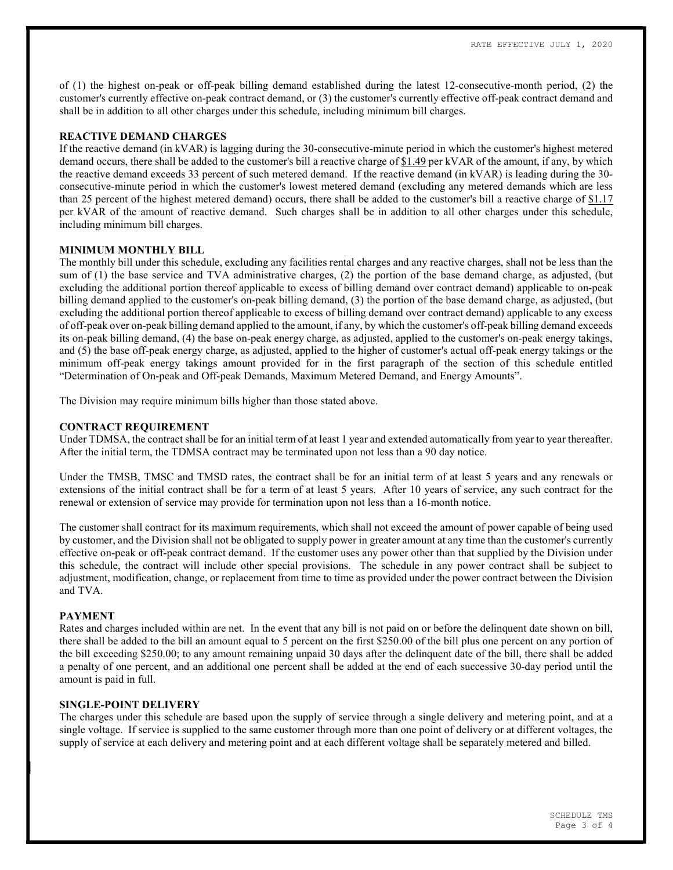of (1) the highest on-peak or off-peak billing demand established during the latest 12-consecutive-month period, (2) the customer's currently effective on-peak contract demand, or (3) the customer's currently effective off-peak contract demand and shall be in addition to all other charges under this schedule, including minimum bill charges.

# REACTIVE DEMAND CHARGES

If the reactive demand (in kVAR) is lagging during the 30-consecutive-minute period in which the customer's highest metered demand occurs, there shall be added to the customer's bill a reactive charge of \$1.49 per kVAR of the amount, if any, by which the reactive demand exceeds 33 percent of such metered demand. If the reactive demand (in kVAR) is leading during the 30 consecutive-minute period in which the customer's lowest metered demand (excluding any metered demands which are less than 25 percent of the highest metered demand) occurs, there shall be added to the customer's bill a reactive charge of  $$1.17$ per kVAR of the amount of reactive demand. Such charges shall be in addition to all other charges under this schedule, including minimum bill charges.

## MINIMUM MONTHLY BILL

The monthly bill under this schedule, excluding any facilities rental charges and any reactive charges, shall not be less than the sum of (1) the base service and TVA administrative charges, (2) the portion of the base demand charge, as adjusted, (but excluding the additional portion thereof applicable to excess of billing demand over contract demand) applicable to on-peak billing demand applied to the customer's on-peak billing demand, (3) the portion of the base demand charge, as adjusted, (but excluding the additional portion thereof applicable to excess of billing demand over contract demand) applicable to any excess of off-peak over on-peak billing demand applied to the amount, if any, by which the customer's off-peak billing demand exceeds its on-peak billing demand, (4) the base on-peak energy charge, as adjusted, applied to the customer's on-peak energy takings, and (5) the base off-peak energy charge, as adjusted, applied to the higher of customer's actual off-peak energy takings or the minimum off-peak energy takings amount provided for in the first paragraph of the section of this schedule entitled "Determination of On-peak and Off-peak Demands, Maximum Metered Demand, and Energy Amounts".

The Division may require minimum bills higher than those stated above.

#### CONTRACT REQUIREMENT

Under TDMSA, the contract shall be for an initial term of at least 1 year and extended automatically from year to year thereafter. After the initial term, the TDMSA contract may be terminated upon not less than a 90 day notice.

Under the TMSB, TMSC and TMSD rates, the contract shall be for an initial term of at least 5 years and any renewals or extensions of the initial contract shall be for a term of at least 5 years. After 10 years of service, any such contract for the renewal or extension of service may provide for termination upon not less than a 16-month notice.

The customer shall contract for its maximum requirements, which shall not exceed the amount of power capable of being used by customer, and the Division shall not be obligated to supply power in greater amount at any time than the customer's currently effective on-peak or off-peak contract demand. If the customer uses any power other than that supplied by the Division under this schedule, the contract will include other special provisions. The schedule in any power contract shall be subject to adjustment, modification, change, or replacement from time to time as provided under the power contract between the Division and TVA.

### PAYMENT

Rates and charges included within are net. In the event that any bill is not paid on or before the delinquent date shown on bill, there shall be added to the bill an amount equal to 5 percent on the first \$250.00 of the bill plus one percent on any portion of the bill exceeding \$250.00; to any amount remaining unpaid 30 days after the delinquent date of the bill, there shall be added a penalty of one percent, and an additional one percent shall be added at the end of each successive 30-day period until the amount is paid in full.

#### SINGLE-POINT DELIVERY

The charges under this schedule are based upon the supply of service through a single delivery and metering point, and at a single voltage. If service is supplied to the same customer through more than one point of delivery or at different voltages, the supply of service at each delivery and metering point and at each different voltage shall be separately metered and billed.